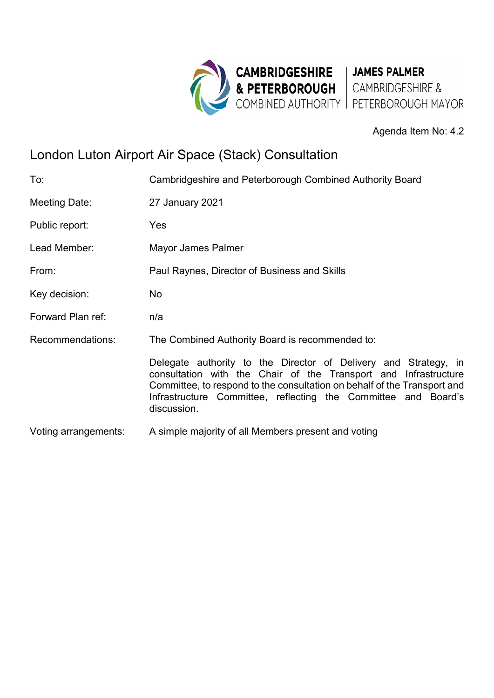

## Agenda Item No: 4.2

## London Luton Airport Air Space (Stack) Consultation

| To:                  | Cambridgeshire and Peterborough Combined Authority Board                                                                                                                                                                                                                                        |
|----------------------|-------------------------------------------------------------------------------------------------------------------------------------------------------------------------------------------------------------------------------------------------------------------------------------------------|
| Meeting Date:        | 27 January 2021                                                                                                                                                                                                                                                                                 |
| Public report:       | Yes                                                                                                                                                                                                                                                                                             |
| Lead Member:         | Mayor James Palmer                                                                                                                                                                                                                                                                              |
| From:                | Paul Raynes, Director of Business and Skills                                                                                                                                                                                                                                                    |
| Key decision:        | No.                                                                                                                                                                                                                                                                                             |
| Forward Plan ref:    | n/a                                                                                                                                                                                                                                                                                             |
| Recommendations:     | The Combined Authority Board is recommended to:                                                                                                                                                                                                                                                 |
|                      | Delegate authority to the Director of Delivery and Strategy, in<br>consultation with the Chair of the Transport and Infrastructure<br>Committee, to respond to the consultation on behalf of the Transport and<br>Infrastructure Committee, reflecting the Committee and Board's<br>discussion. |
| Voting arrangements: | A simple majority of all Members present and voting                                                                                                                                                                                                                                             |